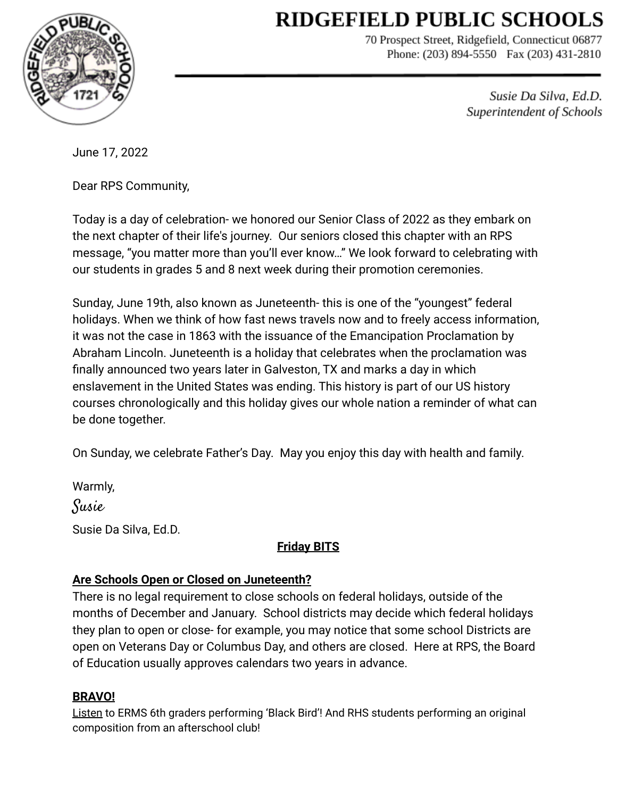# **RIDGEFIELD PUBLIC SCHOOLS**



70 Prospect Street, Ridgefield, Connecticut 06877 Phone: (203) 894-5550 Fax (203) 431-2810

> Susie Da Silva, Ed.D. Superintendent of Schools

June 17, 2022

Dear RPS Community,

Today is a day of celebration- we honored our Senior Class of 2022 as they embark on the next chapter of their life's journey. Our seniors closed this chapter with an RPS message, "you matter more than you'll ever know…" We look forward to celebrating with our students in grades 5 and 8 next week during their promotion ceremonies.

Sunday, June 19th, also known as Juneteenth- this is one of the "youngest" federal holidays. When we think of how fast news travels now and to freely access information, it was not the case in 1863 with the issuance of the Emancipation Proclamation by Abraham Lincoln. Juneteenth is a holiday that celebrates when the proclamation was finally announced two years later in Galveston, TX and marks a day in which enslavement in the United States was ending. This history is part of our US history courses chronologically and this holiday gives our whole nation a reminder of what can be done together.

On Sunday, we celebrate Father's Day. May you enjoy this day with health and family.

Warmly, Susie Susie Da Silva, Ed.D.

# **Friday BITS**

# **Are Schools Open or Closed on Juneteenth?**

There is no legal requirement to close schools on federal holidays, outside of the months of December and January. School districts may decide which federal holidays they plan to open or close- for example, you may notice that some school Districts are open on Veterans Day or Columbus Day, and others are closed. Here at RPS, the Board of Education usually approves calendars two years in advance.

## **BRAVO!**

[Listen](https://drive.google.com/file/d/1zaLsJDCUUqjD7Gwx3qrjC8_jBudlYZCy/view?usp=sharing) to ERMS 6th graders performing 'Black Bird'! And RHS students performing an original composition from an afterschool club!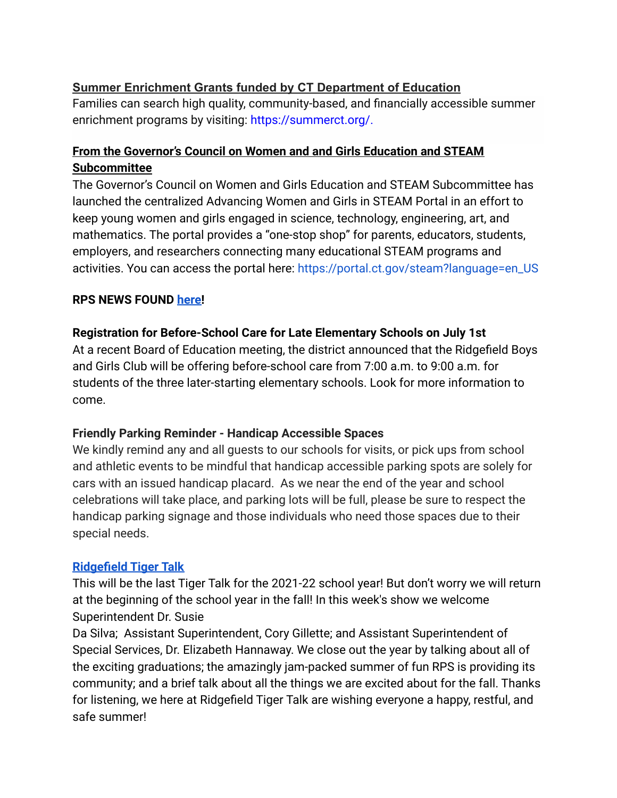## **Summer Enrichment Grants funded by CT Department of Education**

Families can search high quality, community-based, and financially accessible summer enrichment programs by visiting: [https://summerct.org/.](https://gcc02.safelinks.protection.outlook.com/?url=https%3A%2F%2Fsummerct.org%2F&data=05%7C01%7CMadi.Csejka%40ct.gov%7Ce30eb39fd893450fcb4308da4d7a921c%7C118b7cfaa3dd48b9b02631ff69bb738b%7C0%7C0%7C637907486073302494%7CUnknown%7CTWFpbGZsb3d8eyJWIjoiMC4wLjAwMDAiLCJQIjoiV2luMzIiLCJBTiI6Ik1haWwiLCJXVCI6Mn0%3D%7C3000%7C%7C%7C&sdata=t2IRw5co4hfd02fIYlxshO%2F%2BfLmU56Z8mpk0apsC1bk%3D&reserved=0)

## **From the Governor's Council on Women and and Girls Education and STEAM Subcommittee**

The Governor's Council on Women and Girls Education and STEAM Subcommittee has launched the centralized Advancing Women and Girls in STEAM Portal in an effort to keep young women and girls engaged in science, technology, engineering, art, and mathematics. The portal provides a "one-stop shop" for parents, educators, students, employers, and researchers connecting many educational STEAM programs and activities. You can access the portal here: [https://portal.ct.gov/steam?language=en\\_US](https://portal.ct.gov/steam?language=en_US)

## **RPS NEWS FOUND [here!](https://drive.google.com/file/d/1Erh1D_JbXDIw4VHnUIe5oVxIQICP8Ypl/view?usp=sharingFyyjeDYlddDOB0dL7AdUZlgoU/view?usp=sharing)**

#### **Registration for Before-School Care for Late Elementary Schools on July 1st**

At a recent Board of Education meeting, the district announced that the Ridgefield Boys and Girls Club will be offering before-school care from 7:00 a.m. to 9:00 a.m. for students of the three later-starting elementary schools. Look for more information to come.

#### **Friendly Parking Reminder - Handicap Accessible Spaces**

We kindly remind any and all guests to our schools for visits, or pick ups from school and athletic events to be mindful that handicap accessible parking spots are solely for cars with an issued handicap placard. As we near the end of the year and school celebrations will take place, and parking lots will be full, please be sure to respect the handicap parking signage and those individuals who need those spaces due to their special needs.

#### **[Ridgefield Tiger Talk](https://sites.google.com/ridgefieldps.net/tigertalk/home)**

This will be the last Tiger Talk for the 2021-22 school year! But don't worry we will return at the beginning of the school year in the fall! In this week's show we welcome Superintendent Dr. Susie

Da Silva; Assistant Superintendent, Cory Gillette; and Assistant Superintendent of Special Services, Dr. Elizabeth Hannaway. We close out the year by talking about all of the exciting graduations; the amazingly jam-packed summer of fun RPS is providing its community; and a brief talk about all the things we are excited about for the fall. Thanks for listening, we here at Ridgefield Tiger Talk are wishing everyone a happy, restful, and safe summer!